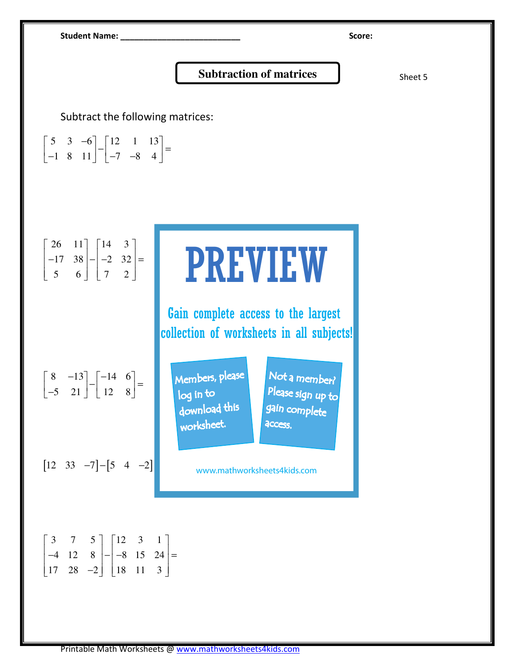